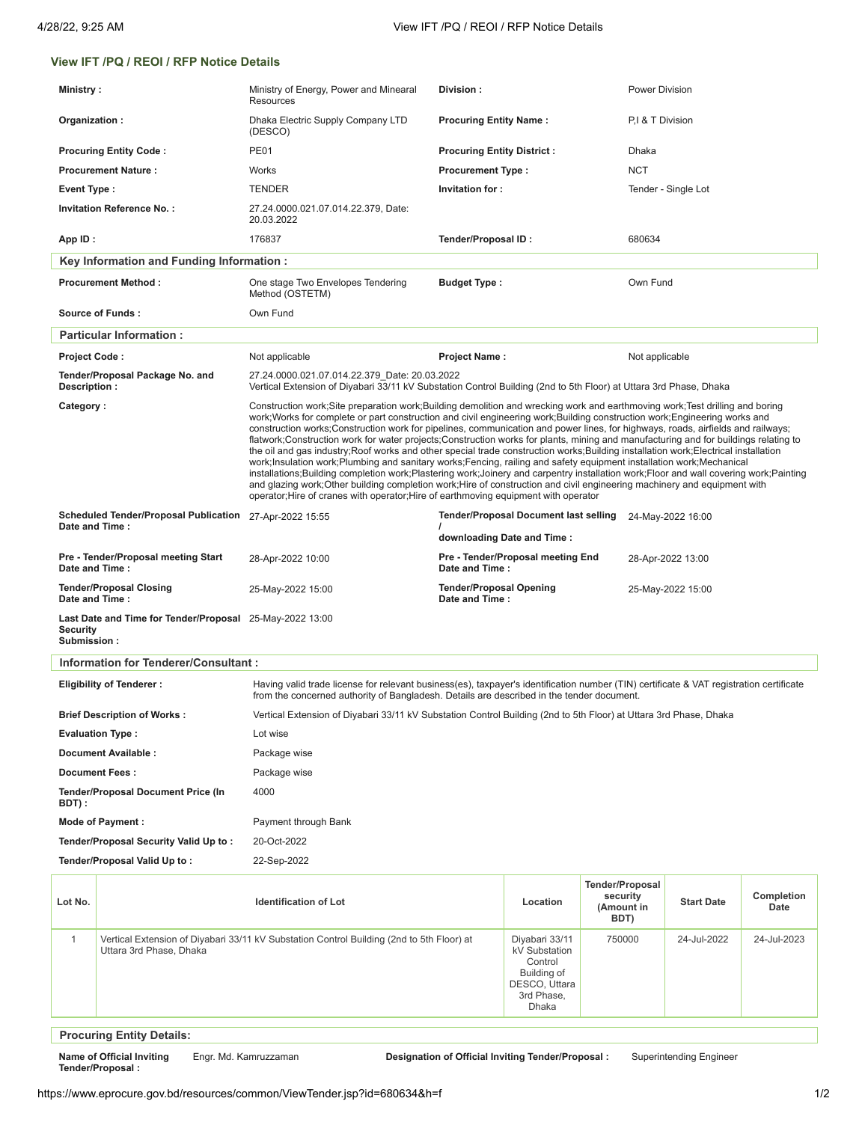## **View IFT /PQ / REOI / RFP Notice Details**

| Ministry:                                                                                                                                                                                                                                                               |                                      | Ministry of Energy, Power and Minearal<br><b>Resources</b>                                                                                                                                                                                                                                                                                                                                                                                                                                                                                                                                                                                                                                                                                                                                                                                                                                                                                                                                                                                                                                                                                                          | Division:                                                                                                         |                                            |                                                          | <b>Power Division</b> |                    |  |  |
|-------------------------------------------------------------------------------------------------------------------------------------------------------------------------------------------------------------------------------------------------------------------------|--------------------------------------|---------------------------------------------------------------------------------------------------------------------------------------------------------------------------------------------------------------------------------------------------------------------------------------------------------------------------------------------------------------------------------------------------------------------------------------------------------------------------------------------------------------------------------------------------------------------------------------------------------------------------------------------------------------------------------------------------------------------------------------------------------------------------------------------------------------------------------------------------------------------------------------------------------------------------------------------------------------------------------------------------------------------------------------------------------------------------------------------------------------------------------------------------------------------|-------------------------------------------------------------------------------------------------------------------|--------------------------------------------|----------------------------------------------------------|-----------------------|--------------------|--|--|
| Organization:                                                                                                                                                                                                                                                           |                                      | Dhaka Electric Supply Company LTD<br>(DESCO)                                                                                                                                                                                                                                                                                                                                                                                                                                                                                                                                                                                                                                                                                                                                                                                                                                                                                                                                                                                                                                                                                                                        | <b>Procuring Entity Name:</b>                                                                                     |                                            |                                                          | P,I & T Division      |                    |  |  |
| <b>Procuring Entity Code:</b>                                                                                                                                                                                                                                           |                                      | <b>PE01</b>                                                                                                                                                                                                                                                                                                                                                                                                                                                                                                                                                                                                                                                                                                                                                                                                                                                                                                                                                                                                                                                                                                                                                         | <b>Procuring Entity District:</b>                                                                                 |                                            | Dhaka                                                    |                       |                    |  |  |
| <b>Procurement Nature:</b>                                                                                                                                                                                                                                              |                                      | Works                                                                                                                                                                                                                                                                                                                                                                                                                                                                                                                                                                                                                                                                                                                                                                                                                                                                                                                                                                                                                                                                                                                                                               | <b>Procurement Type:</b>                                                                                          |                                            | <b>NCT</b>                                               |                       |                    |  |  |
| <b>Event Type:</b>                                                                                                                                                                                                                                                      |                                      | TENDER                                                                                                                                                                                                                                                                                                                                                                                                                                                                                                                                                                                                                                                                                                                                                                                                                                                                                                                                                                                                                                                                                                                                                              | Invitation for:                                                                                                   |                                            |                                                          | Tender - Single Lot   |                    |  |  |
|                                                                                                                                                                                                                                                                         | <b>Invitation Reference No.:</b>     | 27.24.0000.021.07.014.22.379, Date:<br>20.03.2022                                                                                                                                                                                                                                                                                                                                                                                                                                                                                                                                                                                                                                                                                                                                                                                                                                                                                                                                                                                                                                                                                                                   |                                                                                                                   |                                            |                                                          |                       |                    |  |  |
| App ID:                                                                                                                                                                                                                                                                 |                                      | 176837                                                                                                                                                                                                                                                                                                                                                                                                                                                                                                                                                                                                                                                                                                                                                                                                                                                                                                                                                                                                                                                                                                                                                              | <b>Tender/Proposal ID:</b>                                                                                        |                                            |                                                          | 680634                |                    |  |  |
| Key Information and Funding Information :                                                                                                                                                                                                                               |                                      |                                                                                                                                                                                                                                                                                                                                                                                                                                                                                                                                                                                                                                                                                                                                                                                                                                                                                                                                                                                                                                                                                                                                                                     |                                                                                                                   |                                            |                                                          |                       |                    |  |  |
| <b>Procurement Method:</b>                                                                                                                                                                                                                                              |                                      | One stage Two Envelopes Tendering<br>Method (OSTETM)                                                                                                                                                                                                                                                                                                                                                                                                                                                                                                                                                                                                                                                                                                                                                                                                                                                                                                                                                                                                                                                                                                                | <b>Budget Type:</b>                                                                                               |                                            |                                                          | Own Fund              |                    |  |  |
|                                                                                                                                                                                                                                                                         | Source of Funds:                     | Own Fund                                                                                                                                                                                                                                                                                                                                                                                                                                                                                                                                                                                                                                                                                                                                                                                                                                                                                                                                                                                                                                                                                                                                                            |                                                                                                                   |                                            |                                                          |                       |                    |  |  |
|                                                                                                                                                                                                                                                                         | <b>Particular Information:</b>       |                                                                                                                                                                                                                                                                                                                                                                                                                                                                                                                                                                                                                                                                                                                                                                                                                                                                                                                                                                                                                                                                                                                                                                     |                                                                                                                   |                                            |                                                          |                       |                    |  |  |
| <b>Project Code:</b>                                                                                                                                                                                                                                                    |                                      | Not applicable                                                                                                                                                                                                                                                                                                                                                                                                                                                                                                                                                                                                                                                                                                                                                                                                                                                                                                                                                                                                                                                                                                                                                      | <b>Project Name:</b>                                                                                              |                                            | Not applicable                                           |                       |                    |  |  |
| Description :                                                                                                                                                                                                                                                           | Tender/Proposal Package No. and      | 27.24.0000.021.07.014.22.379 Date: 20.03.2022                                                                                                                                                                                                                                                                                                                                                                                                                                                                                                                                                                                                                                                                                                                                                                                                                                                                                                                                                                                                                                                                                                                       | Vertical Extension of Diyabari 33/11 kV Substation Control Building (2nd to 5th Floor) at Uttara 3rd Phase, Dhaka |                                            |                                                          |                       |                    |  |  |
| Category:                                                                                                                                                                                                                                                               |                                      | Construction work; Site preparation work; Building demolition and wrecking work and earthmoving work; Test drilling and boring<br>work; Works for complete or part construction and civil engineering work; Building construction work; Engineering works and<br>construction works; Construction work for pipelines, communication and power lines, for highways, roads, airfields and railways;<br>flatwork;Construction work for water projects;Construction works for plants, mining and manufacturing and for buildings relating to<br>the oil and gas industry; Roof works and other special trade construction works; Building installation work; Electrical installation<br>work;Insulation work;Plumbing and sanitary works;Fencing, railing and safety equipment installation work;Mechanical<br>installations;Building completion work;Plastering work;Joinery and carpentry installation work;Floor and wall covering work;Painting<br>and glazing work; Other building completion work; Hire of construction and civil engineering machinery and equipment with<br>operator; Hire of cranes with operator; Hire of earthmoving equipment with operator |                                                                                                                   |                                            |                                                          |                       |                    |  |  |
| <b>Scheduled Tender/Proposal Publication</b><br>Date and Time:                                                                                                                                                                                                          |                                      | 27-Apr-2022 15:55                                                                                                                                                                                                                                                                                                                                                                                                                                                                                                                                                                                                                                                                                                                                                                                                                                                                                                                                                                                                                                                                                                                                                   | <b>Tender/Proposal Document last selling</b><br>24-May-2022 16:00<br>downloading Date and Time:                   |                                            |                                                          |                       |                    |  |  |
| Pre - Tender/Proposal meeting Start<br>Date and Time:                                                                                                                                                                                                                   |                                      | 28-Apr-2022 10:00                                                                                                                                                                                                                                                                                                                                                                                                                                                                                                                                                                                                                                                                                                                                                                                                                                                                                                                                                                                                                                                                                                                                                   | Pre - Tender/Proposal meeting End<br>Date and Time:                                                               |                                            |                                                          | 28-Apr-2022 13:00     |                    |  |  |
| <b>Tender/Proposal Closing</b><br>Date and Time:                                                                                                                                                                                                                        |                                      | 25-May-2022 15:00                                                                                                                                                                                                                                                                                                                                                                                                                                                                                                                                                                                                                                                                                                                                                                                                                                                                                                                                                                                                                                                                                                                                                   | <b>Tender/Proposal Opening</b><br>Date and Time:                                                                  |                                            |                                                          | 25-May-2022 15:00     |                    |  |  |
| Last Date and Time for Tender/Proposal 25-May-2022 13:00<br><b>Security</b><br>Submission:                                                                                                                                                                              |                                      |                                                                                                                                                                                                                                                                                                                                                                                                                                                                                                                                                                                                                                                                                                                                                                                                                                                                                                                                                                                                                                                                                                                                                                     |                                                                                                                   |                                            |                                                          |                       |                    |  |  |
|                                                                                                                                                                                                                                                                         | Information for Tenderer/Consultant: |                                                                                                                                                                                                                                                                                                                                                                                                                                                                                                                                                                                                                                                                                                                                                                                                                                                                                                                                                                                                                                                                                                                                                                     |                                                                                                                   |                                            |                                                          |                       |                    |  |  |
| Having valid trade license for relevant business(es), taxpayer's identification number (TIN) certificate & VAT registration certificate<br><b>Eligibility of Tenderer:</b><br>from the concerned authority of Bangladesh. Details are described in the tender document. |                                      |                                                                                                                                                                                                                                                                                                                                                                                                                                                                                                                                                                                                                                                                                                                                                                                                                                                                                                                                                                                                                                                                                                                                                                     |                                                                                                                   |                                            |                                                          |                       |                    |  |  |
| <b>Brief Description of Works:</b>                                                                                                                                                                                                                                      |                                      | Vertical Extension of Diyabari 33/11 kV Substation Control Building (2nd to 5th Floor) at Uttara 3rd Phase, Dhaka                                                                                                                                                                                                                                                                                                                                                                                                                                                                                                                                                                                                                                                                                                                                                                                                                                                                                                                                                                                                                                                   |                                                                                                                   |                                            |                                                          |                       |                    |  |  |
| <b>Evaluation Type:</b>                                                                                                                                                                                                                                                 |                                      | Lot wise                                                                                                                                                                                                                                                                                                                                                                                                                                                                                                                                                                                                                                                                                                                                                                                                                                                                                                                                                                                                                                                                                                                                                            |                                                                                                                   |                                            |                                                          |                       |                    |  |  |
| Document Available:                                                                                                                                                                                                                                                     |                                      | Package wise                                                                                                                                                                                                                                                                                                                                                                                                                                                                                                                                                                                                                                                                                                                                                                                                                                                                                                                                                                                                                                                                                                                                                        |                                                                                                                   |                                            |                                                          |                       |                    |  |  |
| <b>Document Fees:</b>                                                                                                                                                                                                                                                   |                                      | Package wise                                                                                                                                                                                                                                                                                                                                                                                                                                                                                                                                                                                                                                                                                                                                                                                                                                                                                                                                                                                                                                                                                                                                                        |                                                                                                                   |                                            |                                                          |                       |                    |  |  |
| Tender/Proposal Document Price (In<br>BDT) :                                                                                                                                                                                                                            |                                      | 4000                                                                                                                                                                                                                                                                                                                                                                                                                                                                                                                                                                                                                                                                                                                                                                                                                                                                                                                                                                                                                                                                                                                                                                |                                                                                                                   |                                            |                                                          |                       |                    |  |  |
| Mode of Payment :                                                                                                                                                                                                                                                       |                                      | Payment through Bank                                                                                                                                                                                                                                                                                                                                                                                                                                                                                                                                                                                                                                                                                                                                                                                                                                                                                                                                                                                                                                                                                                                                                |                                                                                                                   |                                            |                                                          |                       |                    |  |  |
| Tender/Proposal Security Valid Up to:                                                                                                                                                                                                                                   |                                      | 20-Oct-2022                                                                                                                                                                                                                                                                                                                                                                                                                                                                                                                                                                                                                                                                                                                                                                                                                                                                                                                                                                                                                                                                                                                                                         |                                                                                                                   |                                            |                                                          |                       |                    |  |  |
| Tender/Proposal Valid Up to:                                                                                                                                                                                                                                            |                                      | 22-Sep-2022                                                                                                                                                                                                                                                                                                                                                                                                                                                                                                                                                                                                                                                                                                                                                                                                                                                                                                                                                                                                                                                                                                                                                         |                                                                                                                   |                                            |                                                          |                       |                    |  |  |
| Lot No.                                                                                                                                                                                                                                                                 |                                      | <b>Identification of Lot</b>                                                                                                                                                                                                                                                                                                                                                                                                                                                                                                                                                                                                                                                                                                                                                                                                                                                                                                                                                                                                                                                                                                                                        |                                                                                                                   | Location                                   | <b>Tender/Proposal</b><br>security<br>(Amount in<br>BDT) | <b>Start Date</b>     | Completion<br>Date |  |  |
| 1                                                                                                                                                                                                                                                                       | Uttara 3rd Phase, Dhaka              | Vertical Extension of Diyabari 33/11 kV Substation Control Building (2nd to 5th Floor) at                                                                                                                                                                                                                                                                                                                                                                                                                                                                                                                                                                                                                                                                                                                                                                                                                                                                                                                                                                                                                                                                           |                                                                                                                   | Diyabari 33/11<br>kV Substation<br>Control | 750000                                                   | 24-Jul-2022           | 24-Jul-2023        |  |  |

**Procuring Entity Details:**

**Name of Official Inviting Tender/Proposal :**

Building of DESCO, Uttara 3rd Phase, **Dhaka** 

Engr. Md. Kamruzzaman **Designation of Official Inviting Tender/Proposal :** Superintending Engineer